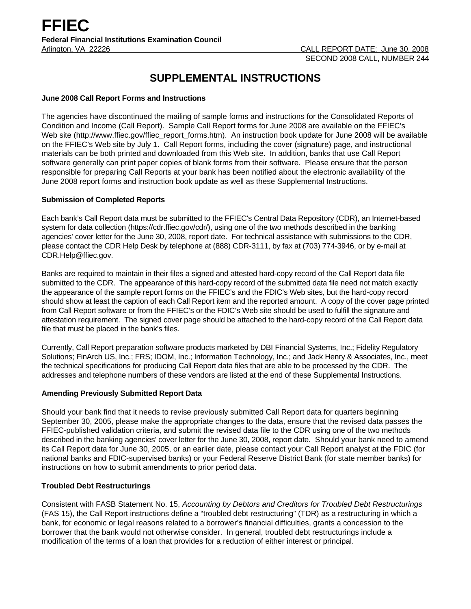# **SUPPLEMENTAL INSTRUCTIONS**

#### **June 2008 Call Report Forms and Instructions**

The agencies have discontinued the mailing of sample forms and instructions for the Consolidated Reports of Condition and Income (Call Report). Sample Call Report forms for June 2008 are available on the FFIEC's Web site (http://www.ffiec.gov/ffiec\_report\_forms.htm). An instruction book update for June 2008 will be available on the FFIEC's Web site by July 1. Call Report forms, including the cover (signature) page, and instructional materials can be both printed and downloaded from this Web site. In addition, banks that use Call Report software generally can print paper copies of blank forms from their software. Please ensure that the person responsible for preparing Call Reports at your bank has been notified about the electronic availability of the June 2008 report forms and instruction book update as well as these Supplemental Instructions.

## **Submission of Completed Reports**

Each bank's Call Report data must be submitted to the FFIEC's Central Data Repository (CDR), an Internet-based system for data collection (https://cdr.ffiec.gov/cdr/), using one of the two methods described in the banking agencies' cover letter for the June 30, 2008, report date. For technical assistance with submissions to the CDR, please contact the CDR Help Desk by telephone at (888) CDR-3111, by fax at (703) 774-3946, or by e-mail at CDR.Help@ffiec.gov.

Banks are required to maintain in their files a signed and attested hard-copy record of the Call Report data file submitted to the CDR. The appearance of this hard-copy record of the submitted data file need not match exactly the appearance of the sample report forms on the FFIEC's and the FDIC's Web sites, but the hard-copy record should show at least the caption of each Call Report item and the reported amount. A copy of the cover page printed from Call Report software or from the FFIEC's or the FDIC's Web site should be used to fulfill the signature and attestation requirement. The signed cover page should be attached to the hard-copy record of the Call Report data file that must be placed in the bank's files.

Currently, Call Report preparation software products marketed by DBI Financial Systems, Inc.; Fidelity Regulatory Solutions; FinArch US, Inc.; FRS; IDOM, Inc.; Information Technology, Inc.; and Jack Henry & Associates, Inc., meet the technical specifications for producing Call Report data files that are able to be processed by the CDR. The addresses and telephone numbers of these vendors are listed at the end of these Supplemental Instructions.

#### **Amending Previously Submitted Report Data**

Should your bank find that it needs to revise previously submitted Call Report data for quarters beginning September 30, 2005, please make the appropriate changes to the data, ensure that the revised data passes the FFIEC-published validation criteria, and submit the revised data file to the CDR using one of the two methods described in the banking agencies' cover letter for the June 30, 2008, report date. Should your bank need to amend its Call Report data for June 30, 2005, or an earlier date, please contact your Call Report analyst at the FDIC (for national banks and FDIC-supervised banks) or your Federal Reserve District Bank (for state member banks) for instructions on how to submit amendments to prior period data.

# **Troubled Debt Restructurings**

Consistent with FASB Statement No. 15, *Accounting by Debtors and Creditors for Troubled Debt Restructurings* (FAS 15), the Call Report instructions define a "troubled debt restructuring" (TDR) as a restructuring in which a bank, for economic or legal reasons related to a borrower's financial difficulties, grants a concession to the borrower that the bank would not otherwise consider. In general, troubled debt restructurings include a modification of the terms of a loan that provides for a reduction of either interest or principal.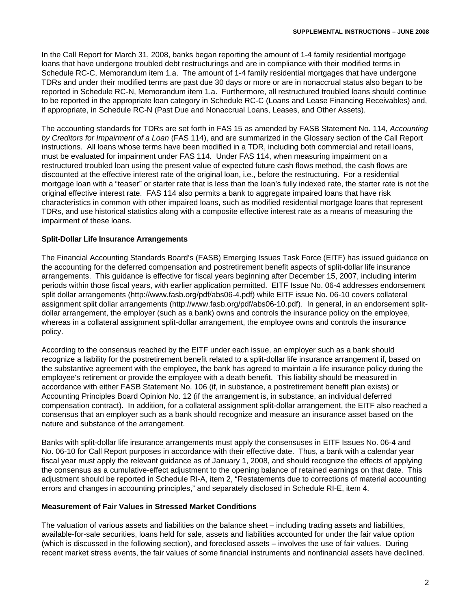In the Call Report for March 31, 2008, banks began reporting the amount of 1-4 family residential mortgage loans that have undergone troubled debt restructurings and are in compliance with their modified terms in Schedule RC-C, Memorandum item 1.a. The amount of 1-4 family residential mortgages that have undergone TDRs and under their modified terms are past due 30 days or more or are in nonaccrual status also began to be reported in Schedule RC-N, Memorandum item 1.a. Furthermore, all restructured troubled loans should continue to be reported in the appropriate loan category in Schedule RC-C (Loans and Lease Financing Receivables) and, if appropriate, in Schedule RC-N (Past Due and Nonaccrual Loans, Leases, and Other Assets).

The accounting standards for TDRs are set forth in FAS 15 as amended by FASB Statement No. 114, *Accounting by Creditors for Impairment of a Loan* (FAS 114), and are summarized in the Glossary section of the Call Report instructions. All loans whose terms have been modified in a TDR, including both commercial and retail loans, must be evaluated for impairment under FAS 114. Under FAS 114, when measuring impairment on a restructured troubled loan using the present value of expected future cash flows method, the cash flows are discounted at the effective interest rate of the original loan, i.e., before the restructuring. For a residential mortgage loan with a "teaser" or starter rate that is less than the loan's fully indexed rate, the starter rate is not the original effective interest rate. FAS 114 also permits a bank to aggregate impaired loans that have risk characteristics in common with other impaired loans, such as modified residential mortgage loans that represent TDRs, and use historical statistics along with a composite effective interest rate as a means of measuring the impairment of these loans.

# **Split-Dollar Life Insurance Arrangements**

The Financial Accounting Standards Board's (FASB) Emerging Issues Task Force (EITF) has issued guidance on the accounting for the deferred compensation and postretirement benefit aspects of split-dollar life insurance arrangements. This guidance is effective for fiscal years beginning after December 15, 2007, including interim periods within those fiscal years, with earlier application permitted. EITF Issue No. 06-4 addresses endorsement split dollar arrangements (http://www.fasb.org/pdf/abs06-4.pdf) while EITF issue No. 06-10 covers collateral assignment split dollar arrangements (http://www.fasb.org/pdf/abs06-10.pdf). In general, in an endorsement splitdollar arrangement, the employer (such as a bank) owns and controls the insurance policy on the employee, whereas in a collateral assignment split-dollar arrangement, the employee owns and controls the insurance policy.

According to the consensus reached by the EITF under each issue, an employer such as a bank should recognize a liability for the postretirement benefit related to a split-dollar life insurance arrangement if, based on the substantive agreement with the employee, the bank has agreed to maintain a life insurance policy during the employee's retirement or provide the employee with a death benefit. This liability should be measured in accordance with either FASB Statement No. 106 (if, in substance, a postretirement benefit plan exists) or Accounting Principles Board Opinion No. 12 (if the arrangement is, in substance, an individual deferred compensation contract). In addition, for a collateral assignment split-dollar arrangement, the EITF also reached a consensus that an employer such as a bank should recognize and measure an insurance asset based on the nature and substance of the arrangement.

Banks with split-dollar life insurance arrangements must apply the consensuses in EITF Issues No. 06-4 and No. 06-10 for Call Report purposes in accordance with their effective date. Thus, a bank with a calendar year fiscal year must apply the relevant guidance as of January 1, 2008, and should recognize the effects of applying the consensus as a cumulative-effect adjustment to the opening balance of retained earnings on that date. This adjustment should be reported in Schedule RI-A, item 2, "Restatements due to corrections of material accounting errors and changes in accounting principles," and separately disclosed in Schedule RI-E, item 4.

#### **Measurement of Fair Values in Stressed Market Conditions**

The valuation of various assets and liabilities on the balance sheet – including trading assets and liabilities, available-for-sale securities, loans held for sale, assets and liabilities accounted for under the fair value option (which is discussed in the following section), and foreclosed assets – involves the use of fair values. During recent market stress events, the fair values of some financial instruments and nonfinancial assets have declined.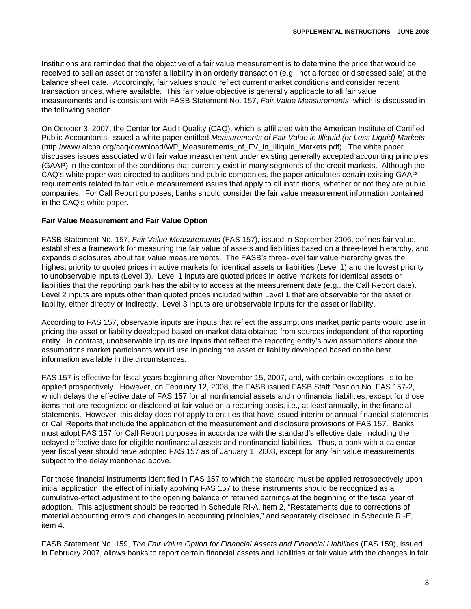Institutions are reminded that the objective of a fair value measurement is to determine the price that would be received to sell an asset or transfer a liability in an orderly transaction (e.g., not a forced or distressed sale) at the balance sheet date. Accordingly, fair values should reflect current market conditions and consider recent transaction prices, where available. This fair value objective is generally applicable to all fair value measurements and is consistent with FASB Statement No. 157, *Fair Value Measurements*, which is discussed in the following section.

On October 3, 2007, the Center for Audit Quality (CAQ), which is affiliated with the American Institute of Certified Public Accountants, issued a white paper entitled *Measurements of Fair Value in Illiquid (or Less Liquid) Markets* (http://www.aicpa.org/caq/download/WP\_Measurements\_of\_FV\_in\_Illiquid\_Markets.pdf). The white paper discusses issues associated with fair value measurement under existing generally accepted accounting principles (GAAP) in the context of the conditions that currently exist in many segments of the credit markets. Although the CAQ's white paper was directed to auditors and public companies, the paper articulates certain existing GAAP requirements related to fair value measurement issues that apply to all institutions, whether or not they are public companies. For Call Report purposes, banks should consider the fair value measurement information contained in the CAQ's white paper.

## **Fair Value Measurement and Fair Value Option**

FASB Statement No. 157, *Fair Value Measurements* (FAS 157), issued in September 2006, defines fair value, establishes a framework for measuring the fair value of assets and liabilities based on a three-level hierarchy, and expands disclosures about fair value measurements. The FASB's three-level fair value hierarchy gives the highest priority to quoted prices in active markets for identical assets or liabilities (Level 1) and the lowest priority to unobservable inputs (Level 3). Level 1 inputs are quoted prices in active markets for identical assets or liabilities that the reporting bank has the ability to access at the measurement date (e.g., the Call Report date). Level 2 inputs are inputs other than quoted prices included within Level 1 that are observable for the asset or liability, either directly or indirectly. Level 3 inputs are unobservable inputs for the asset or liability.

According to FAS 157, observable inputs are inputs that reflect the assumptions market participants would use in pricing the asset or liability developed based on market data obtained from sources independent of the reporting entity. In contrast, unobservable inputs are inputs that reflect the reporting entity's own assumptions about the assumptions market participants would use in pricing the asset or liability developed based on the best information available in the circumstances.

FAS 157 is effective for fiscal years beginning after November 15, 2007, and, with certain exceptions, is to be applied prospectively. However, on February 12, 2008, the FASB issued FASB Staff Position No. FAS 157-2, which delays the effective date of FAS 157 for all nonfinancial assets and nonfinancial liabilities, except for those items that are recognized or disclosed at fair value on a recurring basis, i.e., at least annually, in the financial statements. However, this delay does not apply to entities that have issued interim or annual financial statements or Call Reports that include the application of the measurement and disclosure provisions of FAS 157. Banks must adopt FAS 157 for Call Report purposes in accordance with the standard's effective date, including the delayed effective date for eligible nonfinancial assets and nonfinancial liabilities. Thus, a bank with a calendar year fiscal year should have adopted FAS 157 as of January 1, 2008, except for any fair value measurements subject to the delay mentioned above.

For those financial instruments identified in FAS 157 to which the standard must be applied retrospectively upon initial application, the effect of initially applying FAS 157 to these instruments should be recognized as a cumulative-effect adjustment to the opening balance of retained earnings at the beginning of the fiscal year of adoption. This adjustment should be reported in Schedule RI-A, item 2, "Restatements due to corrections of material accounting errors and changes in accounting principles," and separately disclosed in Schedule RI-E, item 4.

FASB Statement No. 159, *The Fair Value Option for Financial Assets and Financial Liabilities* (FAS 159), issued in February 2007, allows banks to report certain financial assets and liabilities at fair value with the changes in fair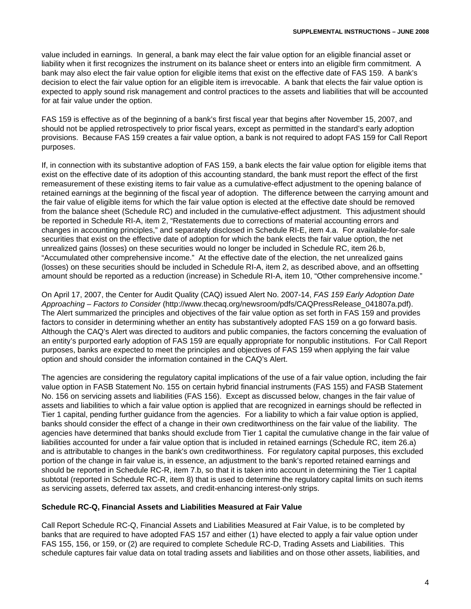value included in earnings. In general, a bank may elect the fair value option for an eligible financial asset or liability when it first recognizes the instrument on its balance sheet or enters into an eligible firm commitment. A bank may also elect the fair value option for eligible items that exist on the effective date of FAS 159. A bank's decision to elect the fair value option for an eligible item is irrevocable. A bank that elects the fair value option is expected to apply sound risk management and control practices to the assets and liabilities that will be accounted for at fair value under the option.

FAS 159 is effective as of the beginning of a bank's first fiscal year that begins after November 15, 2007, and should not be applied retrospectively to prior fiscal years, except as permitted in the standard's early adoption provisions. Because FAS 159 creates a fair value option, a bank is not required to adopt FAS 159 for Call Report purposes.

If, in connection with its substantive adoption of FAS 159, a bank elects the fair value option for eligible items that exist on the effective date of its adoption of this accounting standard, the bank must report the effect of the first remeasurement of these existing items to fair value as a cumulative-effect adjustment to the opening balance of retained earnings at the beginning of the fiscal year of adoption. The difference between the carrying amount and the fair value of eligible items for which the fair value option is elected at the effective date should be removed from the balance sheet (Schedule RC) and included in the cumulative-effect adjustment. This adjustment should be reported in Schedule RI-A, item 2, "Restatements due to corrections of material accounting errors and changes in accounting principles," and separately disclosed in Schedule RI-E, item 4.a. For available-for-sale securities that exist on the effective date of adoption for which the bank elects the fair value option, the net unrealized gains (losses) on these securities would no longer be included in Schedule RC, item 26.b, "Accumulated other comprehensive income." At the effective date of the election, the net unrealized gains (losses) on these securities should be included in Schedule RI-A, item 2, as described above, and an offsetting amount should be reported as a reduction (increase) in Schedule RI-A, item 10, "Other comprehensive income."

On April 17, 2007, the Center for Audit Quality (CAQ) issued Alert No. 2007-14, *FAS 159 Early Adoption Date Approaching – Factors to Consider* (http://www.thecaq.org/newsroom/pdfs/CAQPressRelease\_041807a.pdf). The Alert summarized the principles and objectives of the fair value option as set forth in FAS 159 and provides factors to consider in determining whether an entity has substantively adopted FAS 159 on a go forward basis. Although the CAQ's Alert was directed to auditors and public companies, the factors concerning the evaluation of an entity's purported early adoption of FAS 159 are equally appropriate for nonpublic institutions. For Call Report purposes, banks are expected to meet the principles and objectives of FAS 159 when applying the fair value option and should consider the information contained in the CAQ's Alert.

The agencies are considering the regulatory capital implications of the use of a fair value option, including the fair value option in FASB Statement No. 155 on certain hybrid financial instruments (FAS 155) and FASB Statement No. 156 on servicing assets and liabilities (FAS 156). Except as discussed below, changes in the fair value of assets and liabilities to which a fair value option is applied that are recognized in earnings should be reflected in Tier 1 capital, pending further guidance from the agencies. For a liability to which a fair value option is applied, banks should consider the effect of a change in their own creditworthiness on the fair value of the liability. The agencies have determined that banks should exclude from Tier 1 capital the cumulative change in the fair value of liabilities accounted for under a fair value option that is included in retained earnings (Schedule RC, item 26.a) and is attributable to changes in the bank's own creditworthiness. For regulatory capital purposes, this excluded portion of the change in fair value is, in essence, an adjustment to the bank's reported retained earnings and should be reported in Schedule RC-R, item 7.b, so that it is taken into account in determining the Tier 1 capital subtotal (reported in Schedule RC-R, item 8) that is used to determine the regulatory capital limits on such items as servicing assets, deferred tax assets, and credit-enhancing interest-only strips.

# **Schedule RC-Q, Financial Assets and Liabilities Measured at Fair Value**

Call Report Schedule RC-Q, Financial Assets and Liabilities Measured at Fair Value, is to be completed by banks that are required to have adopted FAS 157 and either (1) have elected to apply a fair value option under FAS 155, 156, or 159, or (2) are required to complete Schedule RC-D, Trading Assets and Liabilities. This schedule captures fair value data on total trading assets and liabilities and on those other assets, liabilities, and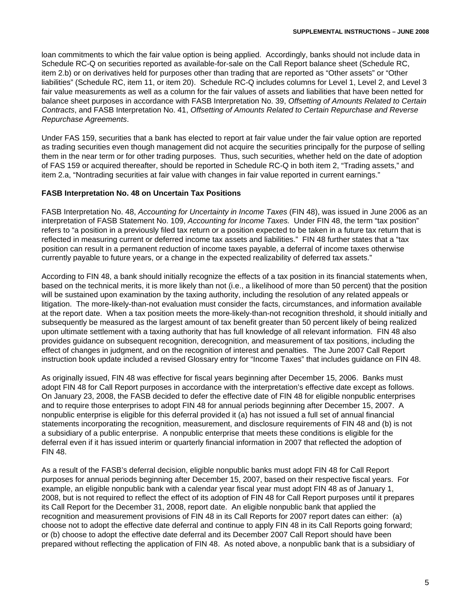loan commitments to which the fair value option is being applied. Accordingly, banks should not include data in Schedule RC-Q on securities reported as available-for-sale on the Call Report balance sheet (Schedule RC, item 2.b) or on derivatives held for purposes other than trading that are reported as "Other assets" or "Other liabilities" (Schedule RC, item 11, or item 20). Schedule RC-Q includes columns for Level 1, Level 2, and Level 3 fair value measurements as well as a column for the fair values of assets and liabilities that have been netted for balance sheet purposes in accordance with FASB Interpretation No. 39, *Offsetting of Amounts Related to Certain Contracts*, and FASB Interpretation No. 41, *Offsetting of Amounts Related to Certain Repurchase and Reverse Repurchase Agreements*.

Under FAS 159, securities that a bank has elected to report at fair value under the fair value option are reported as trading securities even though management did not acquire the securities principally for the purpose of selling them in the near term or for other trading purposes. Thus, such securities, whether held on the date of adoption of FAS 159 or acquired thereafter, should be reported in Schedule RC-Q in both item 2, "Trading assets," and item 2.a, "Nontrading securities at fair value with changes in fair value reported in current earnings."

## **FASB Interpretation No. 48 on Uncertain Tax Positions**

FASB Interpretation No. 48, *Accounting for Uncertainty in Income Taxes* (FIN 48), was issued in June 2006 as an interpretation of FASB Statement No. 109, *Accounting for Income Taxes.* Under FIN 48, the term "tax position" refers to "a position in a previously filed tax return or a position expected to be taken in a future tax return that is reflected in measuring current or deferred income tax assets and liabilities." FIN 48 further states that a "tax position can result in a permanent reduction of income taxes payable, a deferral of income taxes otherwise currently payable to future years, or a change in the expected realizability of deferred tax assets."

According to FIN 48, a bank should initially recognize the effects of a tax position in its financial statements when, based on the technical merits, it is more likely than not (i.e., a likelihood of more than 50 percent) that the position will be sustained upon examination by the taxing authority, including the resolution of any related appeals or litigation. The more-likely-than-not evaluation must consider the facts, circumstances, and information available at the report date. When a tax position meets the more-likely-than-not recognition threshold, it should initially and subsequently be measured as the largest amount of tax benefit greater than 50 percent likely of being realized upon ultimate settlement with a taxing authority that has full knowledge of all relevant information. FIN 48 also provides guidance on subsequent recognition, derecognition, and measurement of tax positions, including the effect of changes in judgment, and on the recognition of interest and penalties. The June 2007 Call Report instruction book update included a revised Glossary entry for "Income Taxes" that includes guidance on FIN 48.

As originally issued, FIN 48 was effective for fiscal years beginning after December 15, 2006. Banks must adopt FIN 48 for Call Report purposes in accordance with the interpretation's effective date except as follows. On January 23, 2008, the FASB decided to defer the effective date of FIN 48 for eligible nonpublic enterprises and to require those enterprises to adopt FIN 48 for annual periods beginning after December 15, 2007. A nonpublic enterprise is eligible for this deferral provided it (a) has not issued a full set of annual financial statements incorporating the recognition, measurement, and disclosure requirements of FIN 48 and (b) is not a subsidiary of a public enterprise. A nonpublic enterprise that meets these conditions is eligible for the deferral even if it has issued interim or quarterly financial information in 2007 that reflected the adoption of FIN 48.

As a result of the FASB's deferral decision, eligible nonpublic banks must adopt FIN 48 for Call Report purposes for annual periods beginning after December 15, 2007, based on their respective fiscal years. For example, an eligible nonpublic bank with a calendar year fiscal year must adopt FIN 48 as of January 1, 2008, but is not required to reflect the effect of its adoption of FIN 48 for Call Report purposes until it prepares its Call Report for the December 31, 2008, report date. An eligible nonpublic bank that applied the recognition and measurement provisions of FIN 48 in its Call Reports for 2007 report dates can either: (a) choose not to adopt the effective date deferral and continue to apply FIN 48 in its Call Reports going forward; or (b) choose to adopt the effective date deferral and its December 2007 Call Report should have been prepared without reflecting the application of FIN 48. As noted above, a nonpublic bank that is a subsidiary of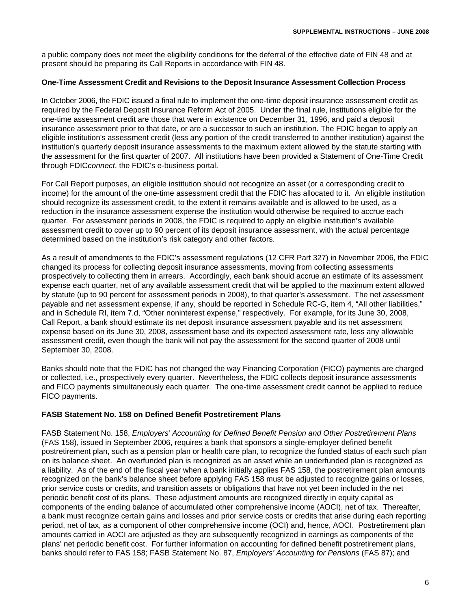a public company does not meet the eligibility conditions for the deferral of the effective date of FIN 48 and at present should be preparing its Call Reports in accordance with FIN 48.

#### **One-Time Assessment Credit and Revisions to the Deposit Insurance Assessment Collection Process**

In October 2006, the FDIC issued a final rule to implement the one-time deposit insurance assessment credit as required by the Federal Deposit Insurance Reform Act of 2005. Under the final rule, institutions eligible for the one-time assessment credit are those that were in existence on December 31, 1996, and paid a deposit insurance assessment prior to that date, or are a successor to such an institution. The FDIC began to apply an eligible institution's assessment credit (less any portion of the credit transferred to another institution) against the institution's quarterly deposit insurance assessments to the maximum extent allowed by the statute starting with the assessment for the first quarter of 2007. All institutions have been provided a Statement of One-Time Credit through FDIC*connect*, the FDIC's e-business portal.

For Call Report purposes, an eligible institution should not recognize an asset (or a corresponding credit to income) for the amount of the one-time assessment credit that the FDIC has allocated to it. An eligible institution should recognize its assessment credit, to the extent it remains available and is allowed to be used, as a reduction in the insurance assessment expense the institution would otherwise be required to accrue each quarter. For assessment periods in 2008, the FDIC is required to apply an eligible institution's available assessment credit to cover up to 90 percent of its deposit insurance assessment, with the actual percentage determined based on the institution's risk category and other factors.

As a result of amendments to the FDIC's assessment regulations (12 CFR Part 327) in November 2006, the FDIC changed its process for collecting deposit insurance assessments, moving from collecting assessments prospectively to collecting them in arrears. Accordingly, each bank should accrue an estimate of its assessment expense each quarter, net of any available assessment credit that will be applied to the maximum extent allowed by statute (up to 90 percent for assessment periods in 2008), to that quarter's assessment. The net assessment payable and net assessment expense, if any, should be reported in Schedule RC-G, item 4, "All other liabilities," and in Schedule RI, item 7.d, "Other noninterest expense," respectively. For example, for its June 30, 2008, Call Report, a bank should estimate its net deposit insurance assessment payable and its net assessment expense based on its June 30, 2008, assessment base and its expected assessment rate, less any allowable assessment credit, even though the bank will not pay the assessment for the second quarter of 2008 until September 30, 2008.

Banks should note that the FDIC has not changed the way Financing Corporation (FICO) payments are charged or collected, i.e., prospectively every quarter. Nevertheless, the FDIC collects deposit insurance assessments and FICO payments simultaneously each quarter. The one-time assessment credit cannot be applied to reduce FICO payments.

# **FASB Statement No. 158 on Defined Benefit Postretirement Plans**

FASB Statement No. 158, *Employers' Accounting for Defined Benefit Pension and Other Postretirement Plans* (FAS 158), issued in September 2006, requires a bank that sponsors a single-employer defined benefit postretirement plan, such as a pension plan or health care plan, to recognize the funded status of each such plan on its balance sheet. An overfunded plan is recognized as an asset while an underfunded plan is recognized as a liability. As of the end of the fiscal year when a bank initially applies FAS 158, the postretirement plan amounts recognized on the bank's balance sheet before applying FAS 158 must be adjusted to recognize gains or losses, prior service costs or credits, and transition assets or obligations that have not yet been included in the net periodic benefit cost of its plans. These adjustment amounts are recognized directly in equity capital as components of the ending balance of accumulated other comprehensive income (AOCI), net of tax. Thereafter, a bank must recognize certain gains and losses and prior service costs or credits that arise during each reporting period, net of tax, as a component of other comprehensive income (OCI) and, hence, AOCI. Postretirement plan amounts carried in AOCI are adjusted as they are subsequently recognized in earnings as components of the plans' net periodic benefit cost. For further information on accounting for defined benefit postretirement plans, banks should refer to FAS 158; FASB Statement No. 87, *Employers' Accounting for Pensions* (FAS 87); and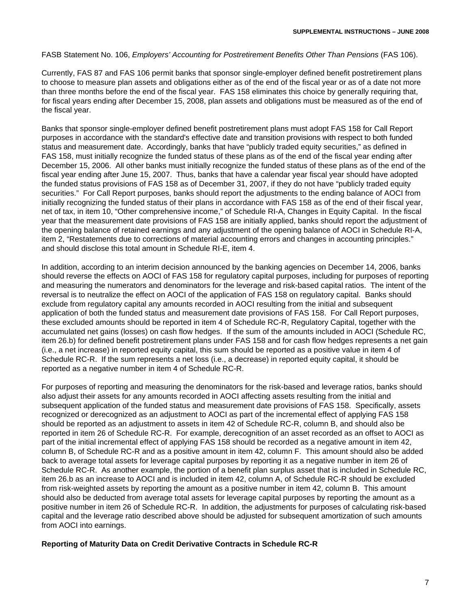FASB Statement No. 106, *Employers' Accounting for Postretirement Benefits Other Than Pensions* (FAS 106).

Currently, FAS 87 and FAS 106 permit banks that sponsor single-employer defined benefit postretirement plans to choose to measure plan assets and obligations either as of the end of the fiscal year or as of a date not more than three months before the end of the fiscal year. FAS 158 eliminates this choice by generally requiring that, for fiscal years ending after December 15, 2008, plan assets and obligations must be measured as of the end of the fiscal year.

Banks that sponsor single-employer defined benefit postretirement plans must adopt FAS 158 for Call Report purposes in accordance with the standard's effective date and transition provisions with respect to both funded status and measurement date. Accordingly, banks that have "publicly traded equity securities," as defined in FAS 158, must initially recognize the funded status of these plans as of the end of the fiscal year ending after December 15, 2006. All other banks must initially recognize the funded status of these plans as of the end of the fiscal year ending after June 15, 2007. Thus, banks that have a calendar year fiscal year should have adopted the funded status provisions of FAS 158 as of December 31, 2007, if they do not have "publicly traded equity securities." For Call Report purposes, banks should report the adjustments to the ending balance of AOCI from initially recognizing the funded status of their plans in accordance with FAS 158 as of the end of their fiscal year, net of tax, in item 10, "Other comprehensive income," of Schedule RI-A, Changes in Equity Capital. In the fiscal year that the measurement date provisions of FAS 158 are initially applied, banks should report the adjustment of the opening balance of retained earnings and any adjustment of the opening balance of AOCI in Schedule RI-A, item 2, "Restatements due to corrections of material accounting errors and changes in accounting principles." and should disclose this total amount in Schedule RI-E, item 4.

In addition, according to an interim decision announced by the banking agencies on December 14, 2006, banks should reverse the effects on AOCI of FAS 158 for regulatory capital purposes, including for purposes of reporting and measuring the numerators and denominators for the leverage and risk-based capital ratios. The intent of the reversal is to neutralize the effect on AOCI of the application of FAS 158 on regulatory capital. Banks should exclude from regulatory capital any amounts recorded in AOCI resulting from the initial and subsequent application of both the funded status and measurement date provisions of FAS 158. For Call Report purposes, these excluded amounts should be reported in item 4 of Schedule RC-R, Regulatory Capital, together with the accumulated net gains (losses) on cash flow hedges. If the sum of the amounts included in AOCI (Schedule RC, item 26.b) for defined benefit postretirement plans under FAS 158 and for cash flow hedges represents a net gain (i.e., a net increase) in reported equity capital, this sum should be reported as a positive value in item 4 of Schedule RC-R. If the sum represents a net loss (i.e., a decrease) in reported equity capital, it should be reported as a negative number in item 4 of Schedule RC-R.

For purposes of reporting and measuring the denominators for the risk-based and leverage ratios, banks should also adjust their assets for any amounts recorded in AOCI affecting assets resulting from the initial and subsequent application of the funded status and measurement date provisions of FAS 158. Specifically, assets recognized or derecognized as an adjustment to AOCI as part of the incremental effect of applying FAS 158 should be reported as an adjustment to assets in item 42 of Schedule RC-R, column B, and should also be reported in item 26 of Schedule RC-R. For example, derecognition of an asset recorded as an offset to AOCI as part of the initial incremental effect of applying FAS 158 should be recorded as a negative amount in item 42, column B, of Schedule RC-R and as a positive amount in item 42, column F. This amount should also be added back to average total assets for leverage capital purposes by reporting it as a negative number in item 26 of Schedule RC-R. As another example, the portion of a benefit plan surplus asset that is included in Schedule RC, item 26.b as an increase to AOCI and is included in item 42, column A, of Schedule RC-R should be excluded from risk-weighted assets by reporting the amount as a positive number in item 42, column B. This amount should also be deducted from average total assets for leverage capital purposes by reporting the amount as a positive number in item 26 of Schedule RC-R. In addition, the adjustments for purposes of calculating risk-based capital and the leverage ratio described above should be adjusted for subsequent amortization of such amounts from AOCI into earnings.

#### **Reporting of Maturity Data on Credit Derivative Contracts in Schedule RC-R**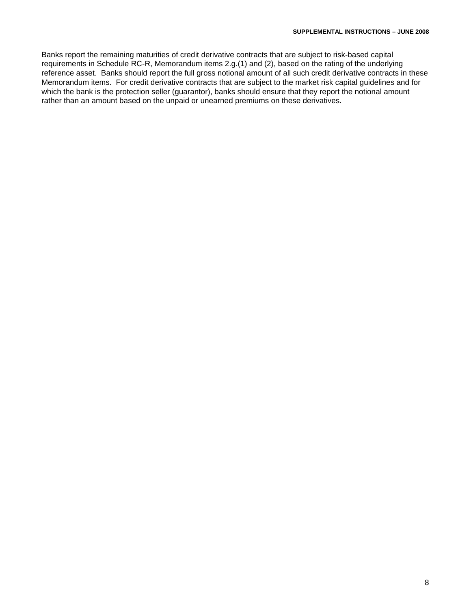Banks report the remaining maturities of credit derivative contracts that are subject to risk-based capital requirements in Schedule RC-R, Memorandum items 2.g.(1) and (2), based on the rating of the underlying reference asset. Banks should report the full gross notional amount of all such credit derivative contracts in these Memorandum items. For credit derivative contracts that are subject to the market risk capital guidelines and for which the bank is the protection seller (guarantor), banks should ensure that they report the notional amount rather than an amount based on the unpaid or unearned premiums on these derivatives.